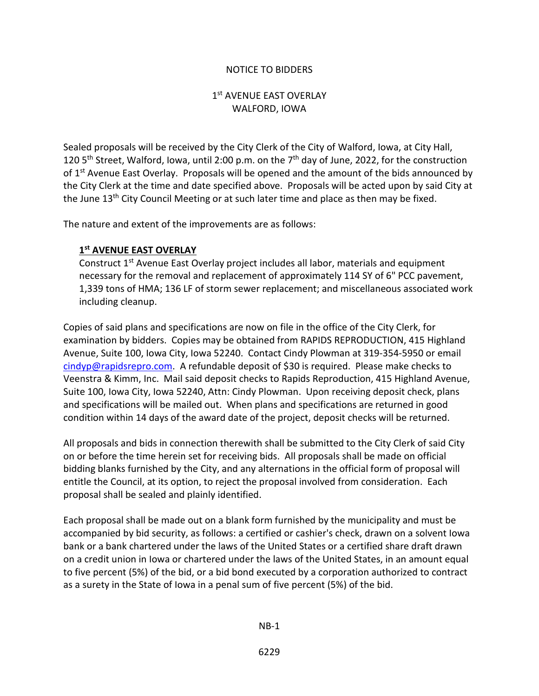## NOTICE TO BIDDERS

## 1st AVENUE EAST OVERLAY WALFORD, IOWA

Sealed proposals will be received by the City Clerk of the City of Walford, Iowa, at City Hall, 120 5<sup>th</sup> Street, Walford, Iowa, until 2:00 p.m. on the  $7<sup>th</sup>$  day of June, 2022, for the construction of 1<sup>st</sup> Avenue East Overlay. Proposals will be opened and the amount of the bids announced by the City Clerk at the time and date specified above. Proposals will be acted upon by said City at the June 13<sup>th</sup> City Council Meeting or at such later time and place as then may be fixed.

The nature and extent of the improvements are as follows:

## **1st AVENUE EAST OVERLAY**

Construct 1<sup>st</sup> Avenue East Overlay project includes all labor, materials and equipment necessary for the removal and replacement of approximately 114 SY of 6" PCC pavement, 1,339 tons of HMA; 136 LF of storm sewer replacement; and miscellaneous associated work including cleanup.

Copies of said plans and specifications are now on file in the office of the City Clerk, for examination by bidders. Copies may be obtained from RAPIDS REPRODUCTION, 415 Highland Avenue, Suite 100, Iowa City, Iowa 52240. Contact Cindy Plowman at 319-354-5950 or email [cindyp@rapidsrepro.com.](mailto:cindyp@rapidsrepro.com) A refundable deposit of \$30 is required. Please make checks to Veenstra & Kimm, Inc. Mail said deposit checks to Rapids Reproduction, 415 Highland Avenue, Suite 100, Iowa City, Iowa 52240, Attn: Cindy Plowman. Upon receiving deposit check, plans and specifications will be mailed out. When plans and specifications are returned in good condition within 14 days of the award date of the project, deposit checks will be returned.

All proposals and bids in connection therewith shall be submitted to the City Clerk of said City on or before the time herein set for receiving bids. All proposals shall be made on official bidding blanks furnished by the City, and any alternations in the official form of proposal will entitle the Council, at its option, to reject the proposal involved from consideration. Each proposal shall be sealed and plainly identified.

Each proposal shall be made out on a blank form furnished by the municipality and must be accompanied by bid security, as follows: a certified or cashier's check, drawn on a solvent Iowa bank or a bank chartered under the laws of the United States or a certified share draft drawn on a credit union in Iowa or chartered under the laws of the United States, in an amount equal to five percent (5%) of the bid, or a bid bond executed by a corporation authorized to contract as a surety in the State of Iowa in a penal sum of five percent (5%) of the bid.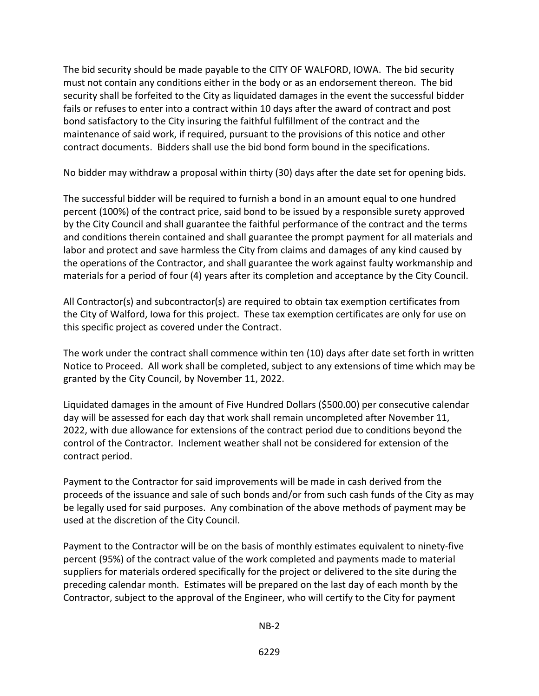The bid security should be made payable to the CITY OF WALFORD, IOWA. The bid security must not contain any conditions either in the body or as an endorsement thereon. The bid security shall be forfeited to the City as liquidated damages in the event the successful bidder fails or refuses to enter into a contract within 10 days after the award of contract and post bond satisfactory to the City insuring the faithful fulfillment of the contract and the maintenance of said work, if required, pursuant to the provisions of this notice and other contract documents. Bidders shall use the bid bond form bound in the specifications.

No bidder may withdraw a proposal within thirty (30) days after the date set for opening bids.

The successful bidder will be required to furnish a bond in an amount equal to one hundred percent (100%) of the contract price, said bond to be issued by a responsible surety approved by the City Council and shall guarantee the faithful performance of the contract and the terms and conditions therein contained and shall guarantee the prompt payment for all materials and labor and protect and save harmless the City from claims and damages of any kind caused by the operations of the Contractor, and shall guarantee the work against faulty workmanship and materials for a period of four (4) years after its completion and acceptance by the City Council.

All Contractor(s) and subcontractor(s) are required to obtain tax exemption certificates from the City of Walford, Iowa for this project. These tax exemption certificates are only for use on this specific project as covered under the Contract.

The work under the contract shall commence within ten (10) days after date set forth in written Notice to Proceed. All work shall be completed, subject to any extensions of time which may be granted by the City Council, by November 11, 2022.

Liquidated damages in the amount of Five Hundred Dollars (\$500.00) per consecutive calendar day will be assessed for each day that work shall remain uncompleted after November 11, 2022, with due allowance for extensions of the contract period due to conditions beyond the control of the Contractor. Inclement weather shall not be considered for extension of the contract period.

Payment to the Contractor for said improvements will be made in cash derived from the proceeds of the issuance and sale of such bonds and/or from such cash funds of the City as may be legally used for said purposes. Any combination of the above methods of payment may be used at the discretion of the City Council.

Payment to the Contractor will be on the basis of monthly estimates equivalent to ninety-five percent (95%) of the contract value of the work completed and payments made to material suppliers for materials ordered specifically for the project or delivered to the site during the preceding calendar month. Estimates will be prepared on the last day of each month by the Contractor, subject to the approval of the Engineer, who will certify to the City for payment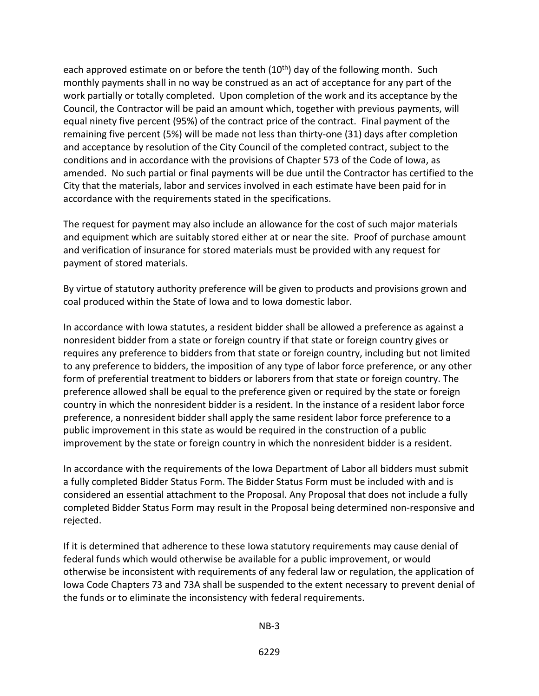each approved estimate on or before the tenth  $(10<sup>th</sup>)$  day of the following month. Such monthly payments shall in no way be construed as an act of acceptance for any part of the work partially or totally completed. Upon completion of the work and its acceptance by the Council, the Contractor will be paid an amount which, together with previous payments, will equal ninety five percent (95%) of the contract price of the contract. Final payment of the remaining five percent (5%) will be made not less than thirty-one (31) days after completion and acceptance by resolution of the City Council of the completed contract, subject to the conditions and in accordance with the provisions of Chapter 573 of the Code of Iowa, as amended. No such partial or final payments will be due until the Contractor has certified to the City that the materials, labor and services involved in each estimate have been paid for in accordance with the requirements stated in the specifications.

The request for payment may also include an allowance for the cost of such major materials and equipment which are suitably stored either at or near the site. Proof of purchase amount and verification of insurance for stored materials must be provided with any request for payment of stored materials.

By virtue of statutory authority preference will be given to products and provisions grown and coal produced within the State of Iowa and to Iowa domestic labor.

In accordance with Iowa statutes, a resident bidder shall be allowed a preference as against a nonresident bidder from a state or foreign country if that state or foreign country gives or requires any preference to bidders from that state or foreign country, including but not limited to any preference to bidders, the imposition of any type of labor force preference, or any other form of preferential treatment to bidders or laborers from that state or foreign country. The preference allowed shall be equal to the preference given or required by the state or foreign country in which the nonresident bidder is a resident. In the instance of a resident labor force preference, a nonresident bidder shall apply the same resident labor force preference to a public improvement in this state as would be required in the construction of a public improvement by the state or foreign country in which the nonresident bidder is a resident.

In accordance with the requirements of the Iowa Department of Labor all bidders must submit a fully completed Bidder Status Form. The Bidder Status Form must be included with and is considered an essential attachment to the Proposal. Any Proposal that does not include a fully completed Bidder Status Form may result in the Proposal being determined non-responsive and rejected.

If it is determined that adherence to these Iowa statutory requirements may cause denial of federal funds which would otherwise be available for a public improvement, or would otherwise be inconsistent with requirements of any federal law or regulation, the application of Iowa Code Chapters 73 and 73A shall be suspended to the extent necessary to prevent denial of the funds or to eliminate the inconsistency with federal requirements.